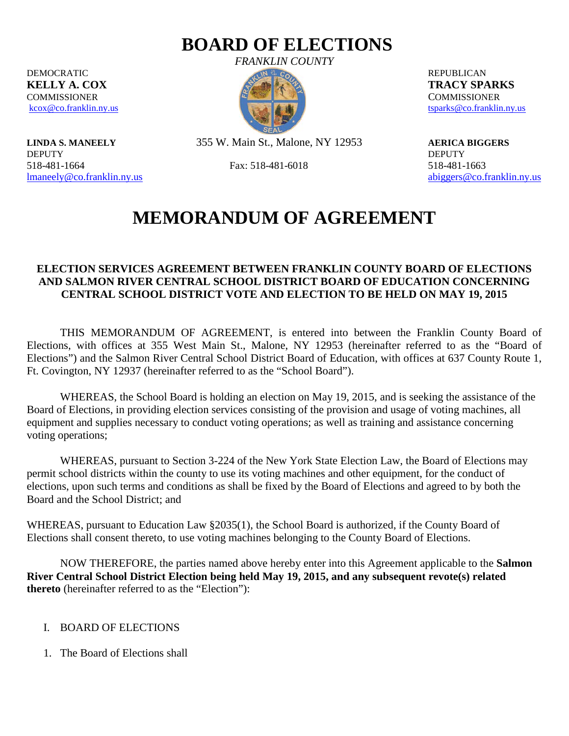## **BOARD OF ELECTIONS**

DEMOCRATIC REPUBLICAN **KELLY A. COX TRACY SPARKS TRACY SPARKS COMMISSIONER COMMISSIONER** 

DEPUTY DEPUTY 518-481-1664 Fax: 518-481-6018 518-481-1663

*FRANKLIN COUNTY*



[kcox@co.franklin.ny.us](mailto:kcox@co.franklin.ny.us) [tsparks@co.franklin.ny.us](mailto:tsparks@co.franklin.ny.us) tsparks@co.franklin.ny.us

**LINDA S. MANEELY** 355 W. Main St., Malone, NY 12953 **AERICA BIGGERS**

[lmaneely@co.franklin.ny.us](mailto:lmaneely@co.franklin.ny.us) [abiggers@co.franklin.ny.us](mailto:abiggers@co.franklin.ny.us) abiggers@co.franklin.ny.us

# **MEMORANDUM OF AGREEMENT**

#### **ELECTION SERVICES AGREEMENT BETWEEN FRANKLIN COUNTY BOARD OF ELECTIONS AND SALMON RIVER CENTRAL SCHOOL DISTRICT BOARD OF EDUCATION CONCERNING CENTRAL SCHOOL DISTRICT VOTE AND ELECTION TO BE HELD ON MAY 19, 2015**

THIS MEMORANDUM OF AGREEMENT, is entered into between the Franklin County Board of Elections, with offices at 355 West Main St., Malone, NY 12953 (hereinafter referred to as the "Board of Elections") and the Salmon River Central School District Board of Education, with offices at 637 County Route 1, Ft. Covington, NY 12937 (hereinafter referred to as the "School Board").

WHEREAS, the School Board is holding an election on May 19, 2015, and is seeking the assistance of the Board of Elections, in providing election services consisting of the provision and usage of voting machines, all equipment and supplies necessary to conduct voting operations; as well as training and assistance concerning voting operations;

WHEREAS, pursuant to Section 3-224 of the New York State Election Law, the Board of Elections may permit school districts within the county to use its voting machines and other equipment, for the conduct of elections, upon such terms and conditions as shall be fixed by the Board of Elections and agreed to by both the Board and the School District; and

WHEREAS, pursuant to Education Law §2035(1), the School Board is authorized, if the County Board of Elections shall consent thereto, to use voting machines belonging to the County Board of Elections.

NOW THEREFORE, the parties named above hereby enter into this Agreement applicable to the **Salmon River Central School District Election being held May 19, 2015, and any subsequent revote(s) related thereto** (hereinafter referred to as the "Election"):

#### I. BOARD OF ELECTIONS

1. The Board of Elections shall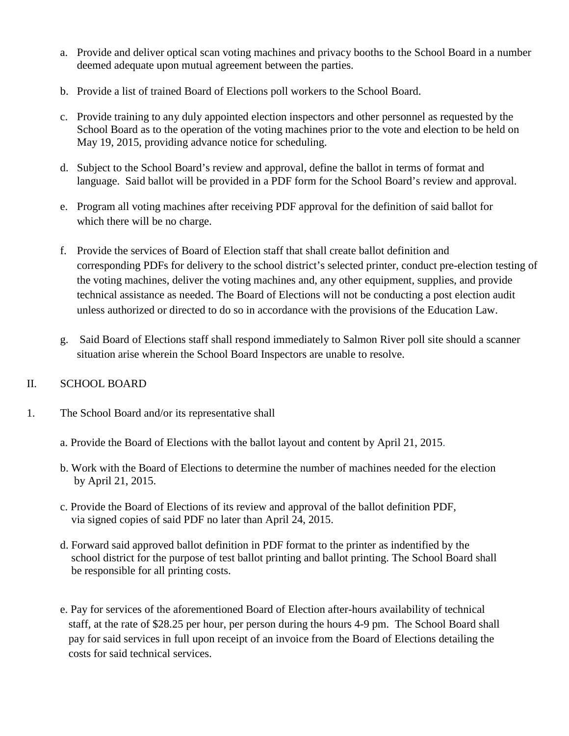- a. Provide and deliver optical scan voting machines and privacy booths to the School Board in a number deemed adequate upon mutual agreement between the parties.
- b. Provide a list of trained Board of Elections poll workers to the School Board.
- c. Provide training to any duly appointed election inspectors and other personnel as requested by the School Board as to the operation of the voting machines prior to the vote and election to be held on May 19, 2015, providing advance notice for scheduling.
- d. Subject to the School Board's review and approval, define the ballot in terms of format and language. Said ballot will be provided in a PDF form for the School Board's review and approval.
- e. Program all voting machines after receiving PDF approval for the definition of said ballot for which there will be no charge.
- f. Provide the services of Board of Election staff that shall create ballot definition and corresponding PDFs for delivery to the school district's selected printer, conduct pre-election testing of the voting machines, deliver the voting machines and, any other equipment, supplies, and provide technical assistance as needed. The Board of Elections will not be conducting a post election audit unless authorized or directed to do so in accordance with the provisions of the Education Law.
- g. Said Board of Elections staff shall respond immediately to Salmon River poll site should a scanner situation arise wherein the School Board Inspectors are unable to resolve.

#### II. SCHOOL BOARD

- 1. The School Board and/or its representative shall
	- a. Provide the Board of Elections with the ballot layout and content by April 21, 2015.
	- b. Work with the Board of Elections to determine the number of machines needed for the election by April 21, 2015.
	- c. Provide the Board of Elections of its review and approval of the ballot definition PDF, via signed copies of said PDF no later than April 24, 2015.
	- d. Forward said approved ballot definition in PDF format to the printer as indentified by the school district for the purpose of test ballot printing and ballot printing. The School Board shall be responsible for all printing costs.
	- e. Pay for services of the aforementioned Board of Election after-hours availability of technical staff, at the rate of \$28.25 per hour, per person during the hours 4-9 pm. The School Board shall pay for said services in full upon receipt of an invoice from the Board of Elections detailing the costs for said technical services.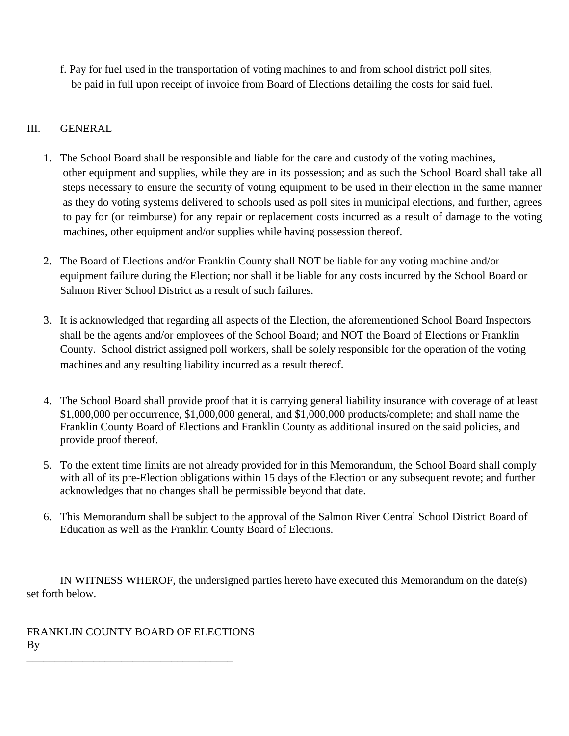f. Pay for fuel used in the transportation of voting machines to and from school district poll sites, be paid in full upon receipt of invoice from Board of Elections detailing the costs for said fuel.

### III. GENERAL

- 1. The School Board shall be responsible and liable for the care and custody of the voting machines, other equipment and supplies, while they are in its possession; and as such the School Board shall take all steps necessary to ensure the security of voting equipment to be used in their election in the same manner as they do voting systems delivered to schools used as poll sites in municipal elections, and further, agrees to pay for (or reimburse) for any repair or replacement costs incurred as a result of damage to the voting machines, other equipment and/or supplies while having possession thereof.
- 2. The Board of Elections and/or Franklin County shall NOT be liable for any voting machine and/or equipment failure during the Election; nor shall it be liable for any costs incurred by the School Board or Salmon River School District as a result of such failures.
- 3. It is acknowledged that regarding all aspects of the Election, the aforementioned School Board Inspectors shall be the agents and/or employees of the School Board; and NOT the Board of Elections or Franklin County. School district assigned poll workers, shall be solely responsible for the operation of the voting machines and any resulting liability incurred as a result thereof.
- 4. The School Board shall provide proof that it is carrying general liability insurance with coverage of at least \$1,000,000 per occurrence, \$1,000,000 general, and \$1,000,000 products/complete; and shall name the Franklin County Board of Elections and Franklin County as additional insured on the said policies, and provide proof thereof.
- 5. To the extent time limits are not already provided for in this Memorandum, the School Board shall comply with all of its pre-Election obligations within 15 days of the Election or any subsequent revote; and further acknowledges that no changes shall be permissible beyond that date.
- 6. This Memorandum shall be subject to the approval of the Salmon River Central School District Board of Education as well as the Franklin County Board of Elections.

IN WITNESS WHEROF, the undersigned parties hereto have executed this Memorandum on the date(s) set forth below.

FRANKLIN COUNTY BOARD OF ELECTIONS By \_\_\_\_\_\_\_\_\_\_\_\_\_\_\_\_\_\_\_\_\_\_\_\_\_\_\_\_\_\_\_\_\_\_\_\_\_